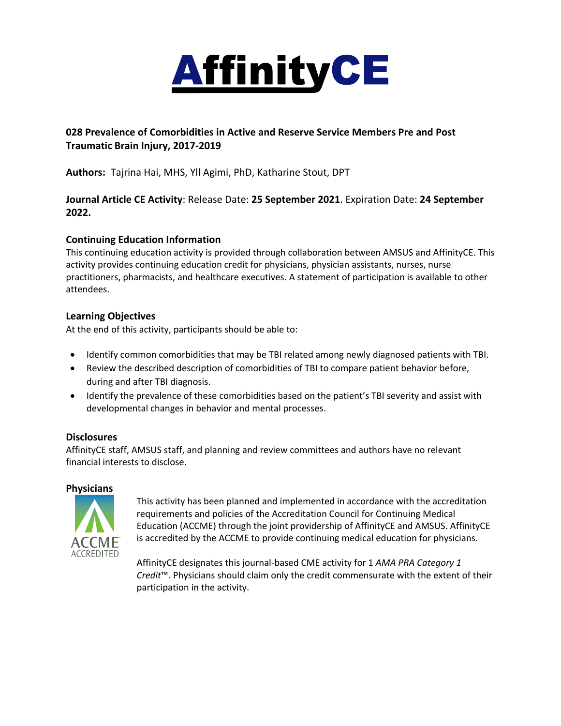

# **028 Prevalence of Comorbidities in Active and Reserve Service Members Pre and Post Traumatic Brain Injury, 2017-2019**

**Authors:** Tajrina Hai, MHS, Yll Agimi, PhD, Katharine Stout, DPT

**Journal Article CE Activity**: Release Date: **25 September 2021**. Expiration Date: **24 September 2022.**

## **Continuing Education Information**

This continuing education activity is provided through collaboration between AMSUS and AffinityCE. This activity provides continuing education credit for physicians, physician assistants, nurses, nurse practitioners, pharmacists, and healthcare executives. A statement of participation is available to other attendees.

## **Learning Objectives**

At the end of this activity, participants should be able to:

- Identify common comorbidities that may be TBI related among newly diagnosed patients with TBI.
- Review the described description of comorbidities of TBI to compare patient behavior before, during and after TBI diagnosis.
- Identify the prevalence of these comorbidities based on the patient's TBI severity and assist with developmental changes in behavior and mental processes.

## **Disclosures**

AffinityCE staff, AMSUS staff, and planning and review committees and authors have no relevant financial interests to disclose.

## **Physicians**



This activity has been planned and implemented in accordance with the accreditation requirements and policies of the Accreditation Council for Continuing Medical Education (ACCME) through the joint providership of AffinityCE and AMSUS. AffinityCE is accredited by the ACCME to provide continuing medical education for physicians.

AffinityCE designates this journal-based CME activity for 1 *AMA PRA Category 1 Credit*™. Physicians should claim only the credit commensurate with the extent of their participation in the activity.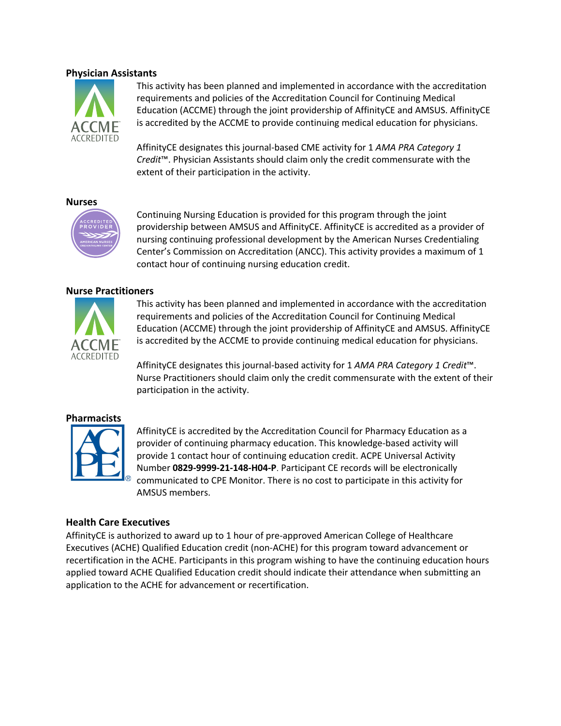#### **Physician Assistants**



This activity has been planned and implemented in accordance with the accreditation requirements and policies of the Accreditation Council for Continuing Medical Education (ACCME) through the joint providership of AffinityCE and AMSUS. AffinityCE is accredited by the ACCME to provide continuing medical education for physicians.

AffinityCE designates this journal-based CME activity for 1 *AMA PRA Category 1 Credit*™. Physician Assistants should claim only the credit commensurate with the extent of their participation in the activity.

#### **Nurses**



Continuing Nursing Education is provided for this program through the joint providership between AMSUS and AffinityCE. AffinityCE is accredited as a provider of nursing continuing professional development by the American Nurses Credentialing Center's Commission on Accreditation (ANCC). This activity provides a maximum of 1 contact hour of continuing nursing education credit.

#### **Nurse Practitioners**



This activity has been planned and implemented in accordance with the accreditation requirements and policies of the Accreditation Council for Continuing Medical Education (ACCME) through the joint providership of AffinityCE and AMSUS. AffinityCE is accredited by the ACCME to provide continuing medical education for physicians.

AffinityCE designates this journal-based activity for 1 *AMA PRA Category 1 Credit*™. Nurse Practitioners should claim only the credit commensurate with the extent of their participation in the activity.

#### **Pharmacists**



AffinityCE is accredited by the Accreditation Council for Pharmacy Education as a provider of continuing pharmacy education. This knowledge-based activity will provide 1 contact hour of continuing education credit. ACPE Universal Activity Number **0829-9999-21-148-H04-P**. Participant CE records will be electronically communicated to CPE Monitor. There is no cost to participate in this activity for AMSUS members.

#### **Health Care Executives**

AffinityCE is authorized to award up to 1 hour of pre-approved American College of Healthcare Executives (ACHE) Qualified Education credit (non-ACHE) for this program toward advancement or recertification in the ACHE. Participants in this program wishing to have the continuing education hours applied toward ACHE Qualified Education credit should indicate their attendance when submitting an application to the ACHE for advancement or recertification.